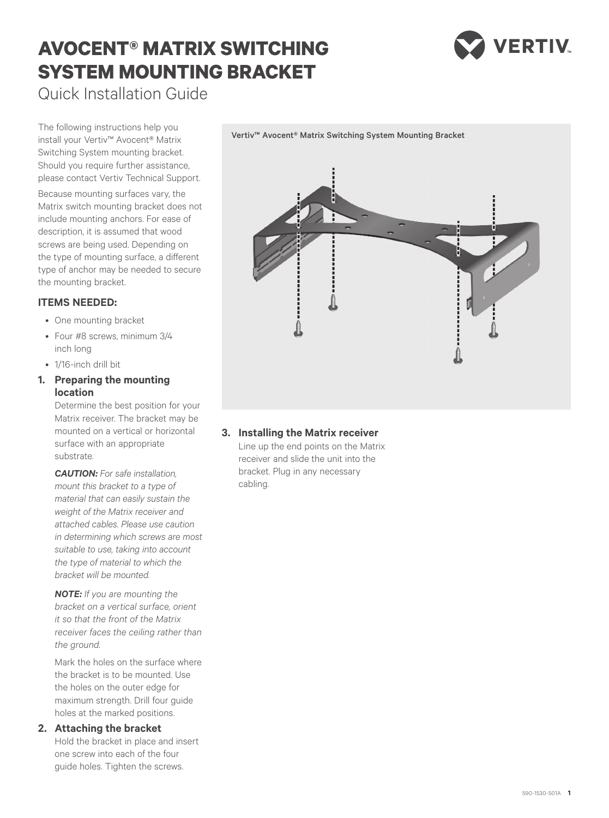# **AVOCENT® MATRIX SWITCHING SYSTEM MOUNTING BRACKET**



Quick Installation Guide

The following instructions help you install your Vertiv™ Avocent® Matrix Switching System mounting bracket. Should you require further assistance, please contact Vertiv Technical Support.

Because mounting surfaces vary, the Matrix switch mounting bracket does not include mounting anchors. For ease of description, it is assumed that wood screws are being used. Depending on the type of mounting surface, a different type of anchor may be needed to secure the mounting bracket.

### **ITEMS NEEDED:**

- One mounting bracket
- Four #8 screws, minimum 3/4 inch long
- 1/16-inch drill bit
- **1. Preparing the mounting location**

Determine the best position for your Matrix receiver. The bracket may be mounted on a vertical or horizontal surface with an appropriate substrate.

*CAUTION: For safe installation, mount this bracket to a type of material that can easily sustain the weight of the Matrix receiver and attached cables. Please use caution in determining which screws are most suitable to use, taking into account the type of material to which the bracket will be mounted.*

*NOTE: If you are mounting the bracket on a vertical surface, orient it so that the front of the Matrix receiver faces the ceiling rather than the ground.* 

Mark the holes on the surface where the bracket is to be mounted. Use the holes on the outer edge for maximum strength. Drill four guide holes at the marked positions.

#### **2. Attaching the bracket**

Hold the bracket in place and insert one screw into each of the four guide holes. Tighten the screws.



Vertiv™ Avocent® Matrix Switching System Mounting Bracket

## **3. Installing the Matrix receiver**

Line up the end points on the Matrix receiver and slide the unit into the bracket. Plug in any necessary cabling.